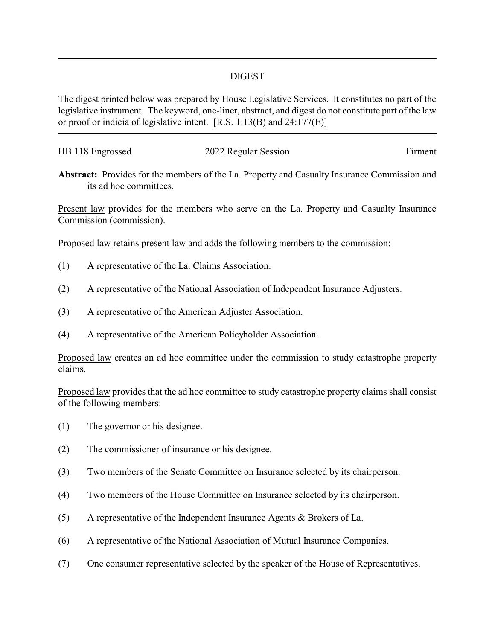## DIGEST

The digest printed below was prepared by House Legislative Services. It constitutes no part of the legislative instrument. The keyword, one-liner, abstract, and digest do not constitute part of the law or proof or indicia of legislative intent. [R.S. 1:13(B) and 24:177(E)]

| HB 118 Engrossed | 2022 Regular Session | Firment |
|------------------|----------------------|---------|
|                  |                      |         |

**Abstract:** Provides for the members of the La. Property and Casualty Insurance Commission and its ad hoc committees.

Present law provides for the members who serve on the La. Property and Casualty Insurance Commission (commission).

Proposed law retains present law and adds the following members to the commission:

- (1) A representative of the La. Claims Association.
- (2) A representative of the National Association of Independent Insurance Adjusters.
- (3) A representative of the American Adjuster Association.
- (4) A representative of the American Policyholder Association.

Proposed law creates an ad hoc committee under the commission to study catastrophe property claims.

Proposed law provides that the ad hoc committee to study catastrophe property claims shall consist of the following members:

- (1) The governor or his designee.
- (2) The commissioner of insurance or his designee.
- (3) Two members of the Senate Committee on Insurance selected by its chairperson.
- (4) Two members of the House Committee on Insurance selected by its chairperson.
- (5) A representative of the Independent Insurance Agents & Brokers of La.
- (6) A representative of the National Association of Mutual Insurance Companies.
- (7) One consumer representative selected by the speaker of the House of Representatives.